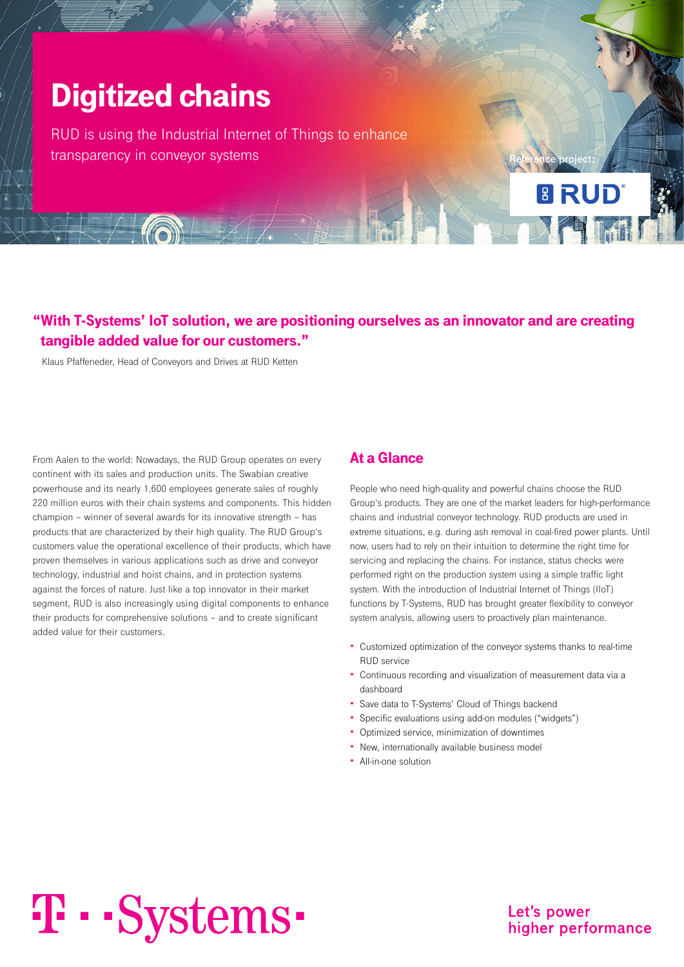## Digitized chains

RUD is using the Industrial Internet of Things to enhance transparency in conveyor systems

## "With T-Systems' IoT solution, we are positioning ourselves as an innovator and are creating tangible added value for our customers."

Klaus Pfaffeneder, Head of Conveyors and Drives at RUD Ketten

From Aalen to the world: Nowadays, the RUD Group operates on every continent with its sales and production units. The Swabian creative powerhouse and its nearly 1,600 employees generate sales of roughly 220 million euros with their chain systems and components. This hidden champion – winner of several awards for its innovative strength – has products that are characterized by their high quality. The RUD Group's customers value the operational excellence of their products, which have proven themselves in various applications such as drive and conveyor technology, industrial and hoist chains, and in protection systems against the forces of nature. Just like a top innovator in their market segment, RUD is also increasingly using digital components to enhance their products for comprehensive solutions – and to create significant added value for their customers.

#### At a Glance

People who need high-quality and powerful chains choose the RUD Group's products. They are one of the market leaders for high-performance chains and industrial conveyor technology. RUD products are used in extreme situations, e.g. during ash removal in coal-fired power plants. Until now, users had to rely on their intuition to determine the right time for servicing and replacing the chains. For instance, status checks were performed right on the production system using a simple traffic light system. With the introduction of Industrial Internet of Things (IIoT) functions by T-Systems, RUD has brought greater flexibility to conveyor system analysis, allowing users to proactively plan maintenance.

**Reference project:**

**E RUD** 

- Customized optimization of the conveyor systems thanks to real-time RUD service
- Continuous recording and visualization of measurement data via a dashboard
- Save data to T-Systems' Cloud of Things backend
- Specific evaluations using add-on modules ("widgets")
- Optimized service, minimization of downtimes
- New, internationally available business model
- All-in-one solution

# T · · Systems ·

Let's power higher performance